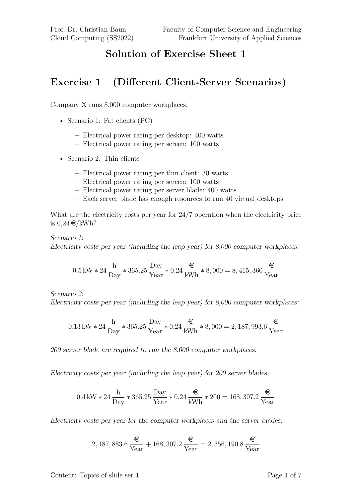### **Solution of Exercise Sheet 1**

### **Exercise 1 (Different Client-Server Scenarios)**

Company X runs 8,000 computer workplaces.

- Scenario 1: Fat clients (PC)
	- **–** Electrical power rating per desktop: 400 watts
	- **–** Electrical power rating per screen: 100 watts
- Scenario 2: Thin clients
	- **–** Electrical power rating per thin client: 30 watts
	- **–** Electrical power rating per screen: 100 watts
	- **–** Electrical power rating per server blade: 400 watts
	- **–** Each server blade has enough resources to run 40 virtual desktops

What are the electricity costs per year for 24/7 operation when the electricity price is  $0.24 \in /kWh?$ 

Scenario 1: Electricity costs per year (including the leap year) for 8,000 computer workplaces:

$$
0.5 \text{ kW} * 24 \frac{\text{h}}{\text{Day}} * 365.25 \frac{\text{Day}}{\text{Year}} * 0.24 \frac{\epsilon}{\text{kWh}} * 8,000 = 8,415,360 \frac{\epsilon}{\text{Year}}
$$

Scenario 2:

Electricity costs per year (including the leap year) for 8,000 computer workplaces:

$$
0.13 \text{ kW} * 24 \frac{\text{h}}{\text{Day}} * 365.25 \frac{\text{Day}}{\text{Year}} * 0.24 \frac{\text{€}}{\text{kWh}} * 8,000 = 2,187,993.6 \frac{\text{€}}{\text{Year}}
$$

200 server blade are required to run the 8.000 computer workplaces.

Electricity costs per year (including the leap year) for 200 server blades.

$$
0.4\,\mathrm{kW} * 24\,\frac{\mathrm{h}}{\mathrm{Day}} * 365.25\,\frac{\mathrm{Day}}{\mathrm{Year}} * 0.24\,\frac{\mathrm{\large \in}}{\mathrm{kWh}} * 200 = 168,307.2\,\frac{\mathrm{\large \in}}{\mathrm{Year}}
$$

Electricity costs per year for the computer workplaces and the server blades.

2, 187, 883.6 
$$
\frac{\epsilon}{\text{Year}} + 168, 307.2 \frac{\epsilon}{\text{Year}} = 2, 356, 190.8 \frac{\epsilon}{\text{Year}}
$$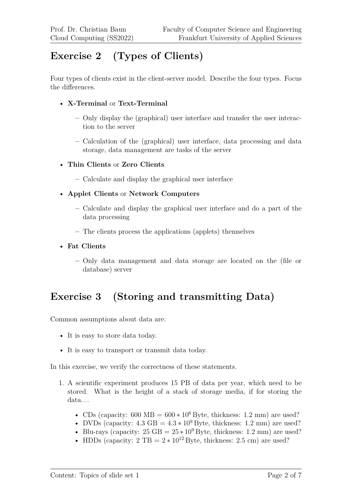# **Exercise 2 (Types of Clients)**

Four types of clients exist in the client-server model. Describe the four types. Focus the differences.

#### • **X-Terminal** or **Text-Terminal**

- **–** Only display the (graphical) user interface and transfer the user interaction to the server
- **–** Calculation of the (graphical) user interface, data processing and data storage, data management are tasks of the server
- **Thin Clients** or **Zero Clients**
	- **–** Calculate and display the graphical user interface
- **Applet Clients** or **Network Computers**
	- **–** Calculate and display the graphical user interface and do a part of the data processing
	- **–** The clients process the applications (applets) themselves
- **Fat Clients**
	- **–** Only data management and data storage are located on the (file or database) server

## **Exercise 3 (Storing and transmitting Data)**

Common assumptions about data are:

- It is easy to store data today.
- It is easy to transport or transmit data today.

In this exercise, we verify the correctness of these statements.

- 1. A scientific experiment produces 15 PB of data per year, which need to be stored. What is the height of a stack of storage media, if for storing the data. . .
	- CDs (capacity: 600 MB =  $600 * 10^6$  Byte, thickness: 1.2 mm) are used?
	- DVDs (capacity:  $4.3 \text{ GB} = 4.3 * 10^9 \text{ B}$ yte, thickness: 1.2 mm) are used?
	- Blu-rays (capacity:  $25 \text{ GB} = 25 * 10^9 \text{ B}$ yte, thickness: 1.2 mm) are used?
	- HDDs (capacity:  $2 \text{ TB} = 2 * 10^{12} \text{ Byte, thickness: } 2.5 \text{ cm}$ ) are used?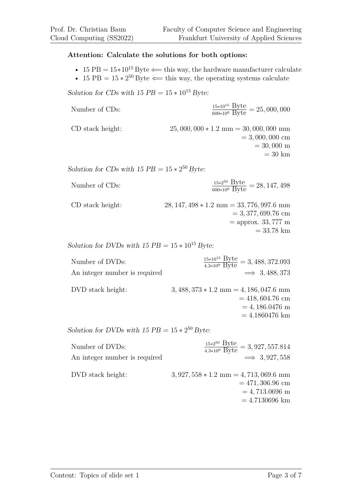#### **Attention: Calculate the solutions for both options:**

- 15 PB =  $15*10^{15}$  Byte  $\Leftarrow$  this way, the hardware manufacturer calculate
- 15 PB =  $15 * 2^{50}$  Byte  $\Leftarrow$  this way, the operating systems calculate

#### Solution for CDs with  $15 PB = 15 * 10^{15} B$ yte:

| Number of CDs:   | $\frac{15*10^{15} \text{ Byte}}{600*10^6 \text{ Byte}} = 25,000,000$                                   |
|------------------|--------------------------------------------------------------------------------------------------------|
| CD stack height: | $25,000,000 * 1.2 \text{ mm} = 30,000,000 \text{ mm}$<br>$= 3,000,000$ cm<br>$= 30,000$ m<br>$=$ 30 km |
|                  |                                                                                                        |

Solution for CDs with  $15 PB = 15 * 2^{50} B$ yte:

| Number of CDs:   | $\frac{15*2^{50} \text{ Byte}}{600*10^6 \text{ Byte}} = 28,147,498$                |
|------------------|------------------------------------------------------------------------------------|
| CD stack height: | $28, 147, 498 * 1.2 \text{ mm} = 33, 776, 997.6 \text{ mm}$<br>$= 3,377,699.76$ cm |
|                  | $=$ approx. 33, 777 m                                                              |

Solution for DVDs with  $15 PB = 15 * 10^{15} B$ yte:

| Number of DVDs:               | $\frac{15*10^{15} \text{ Byte}}{4.3*10^9 \text{ Byte}} = 3,488,372.093$ |
|-------------------------------|-------------------------------------------------------------------------|
| An integer number is required | $\implies$ 3, 488, 373                                                  |

| DVD stack height: | $3,488,373*1.2 \text{ mm} = 4,186,047.6 \text{ mm}$ |
|-------------------|-----------------------------------------------------|
|                   | $= 418,604.76$ cm                                   |
|                   | $= 4,186.0476$ m                                    |
|                   | $=4.1860476$ km                                     |

Solution for DVDs with  $15 PB = 15 * 2^{50} B$ yte:

| Number of DVDs:               | $\frac{15*2^{50} \text{Byte}}{4.3*10^9 \text{Byte}} = 3,927,557.814$                                               |
|-------------------------------|--------------------------------------------------------------------------------------------------------------------|
| An integer number is required | $\implies$ 3, 927, 558                                                                                             |
| DVD stack height:             | $3,927,558 * 1.2 \text{ mm} = 4,713,069.6 \text{ mm}$<br>$= 471,306.96$ cm<br>$= 4,713.0696$ m<br>$= 4.7130696$ km |

= 33*.*78 km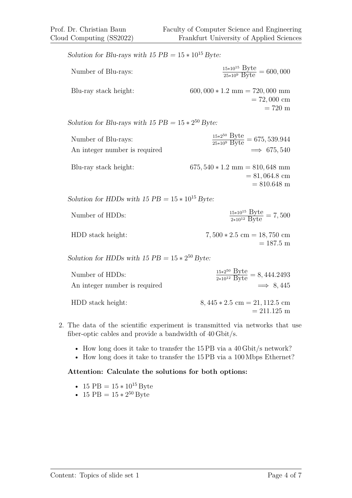Solution for Blu-rays with  $15 PB = 15 * 10^{15} B$ yte:

| Number of Blu-rays:   | $\frac{15*10^{15} \text{ Byte}}{25*10^9 \text{ Byte}} = 600,000$ |
|-----------------------|------------------------------------------------------------------|
| Blu-ray stack height: | $600,000 * 1.2$ mm = 720,000 mm                                  |
|                       | $= 72,000$ cm                                                    |
|                       | $= 720 \text{ m}$                                                |

Solution for Blu-rays with  $15 PB = 15 * 2^{50} B$ yte:

| Number of Blu-rays:           | $\frac{15*2^{50} \text{ Byte}}{25*10^9 \text{ Byte}} = 675,539.944$ |
|-------------------------------|---------------------------------------------------------------------|
| An integer number is required | $\implies$ 675, 540                                                 |
| Blu-ray stack height:         | $675,540 * 1.2$ mm = 810,648 mm<br>$= 81,064.8$ cm<br>$= 810.648$ m |

Solution for HDDs with  $15 PB = 15 * 10^{15} B$ yte:

| Number of HDDs: | $\frac{15*10^{15} \text{Byte}}{2*10^{12} \text{Byte}} = 7,500$ |
|-----------------|----------------------------------------------------------------|
|                 |                                                                |

HDD stack height: 7*,* 500 ∗ 2*.*5 cm = 18*,* 750 cm = 187*.*5 m

Solution for HDDs with  $15 PB = 15 * 2^{50} B$ yte:

| Number of HDDs:               | $\frac{15*2^{50} \text{ Byte}}{2*10^{12} \text{ Byte}} = 8,444.2493$ |
|-------------------------------|----------------------------------------------------------------------|
| An integer number is required | $\implies$ 8.445                                                     |
| HDD stack height:             | $8,445 * 2.5$ cm = 21, 112.5 cm<br>$= 211.125 \text{ m}$             |

- 2. The data of the scientific experiment is transmitted via networks that use fiber-optic cables and provide a bandwidth of 40 Gbit/s.
	- How long does it take to transfer the 15 PB via a 40 Gbit/s network?
	- How long does it take to transfer the 15 PB via a 100 Mbps Ethernet?

#### **Attention: Calculate the solutions for both options:**

- 15 PB =  $15 * 10^{15}$  Byte
- 15 PB =  $15 * 2^{50}$  Byte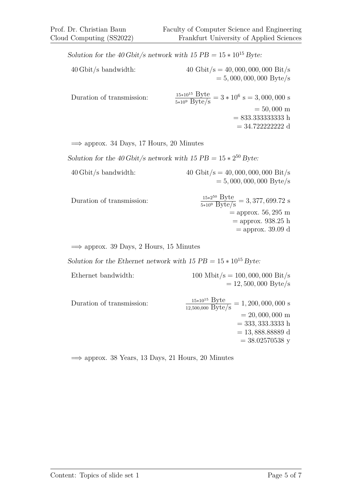Solution for the 40 Gbit/s network with  $15 PB = 15 * 10^{15} B$ yte: 40 Gbit/s bandwidth: 40 Gbit/s = 40*,* 000*,* 000*,* 000 Bit/s = 5*,* 000*,* 000*,* 000 Byte/s Duration of transmission:  $\frac{15*10^{13} \text{ Dyte}}{5*10^{9} \text{ Byte/s}}$  = 3 \* 10<sup>6</sup> s = 3,000,000 s = 50*,* 000 m = 833*.*333333333 h = 34*.*722222222 d

 $\implies$  approx. 34 Days, 17 Hours, 20 Minutes

Solution for the 40 Gbit/s network with  $15 PB = 15 * 2^{50} B$ yte:

- 40 Gbit/s bandwidth: 40 Gbit/s = 40*,* 000*,* 000*,* 000 Bit/s = 5*,* 000*,* 000*,* 000 Byte/s
- Duration of transmission:  $\frac{15*2^{50} \text{Byte}}{5*10^9 \text{Byte/s}} = 3,377,699.72 \text{ s}$ = approx. 56*,* 295 m = approx. 938*.*25 h = approx. 39*.*09 d

 $\implies$  approx. 39 Days, 2 Hours, 15 Minutes

Solution for the Ethernet network with  $15 PB = 15 * 10^{15} B$ yte:

| Ethernet bandwidth: | 100 Mbit/s = 100, 000, 000 Bit/s |
|---------------------|----------------------------------|
|                     | $= 12,500,000 \text{ Byte/s}$    |

| Duration of transmission: | $\frac{L_y}{12,500,000} \frac{L_y}{\text{byte/s}} = 1,200,000,000 \text{ s}$ |
|---------------------------|------------------------------------------------------------------------------|
|                           | $= 20,000,000 \text{ m}$                                                     |
|                           | $=$ 333, 333.3333 h                                                          |
|                           | $= 13,888.88889 d$                                                           |
|                           | $= 38.02570538$ y                                                            |

 $\implies$  approx. 38 Years, 13 Days, 21 Hours, 20 Minutes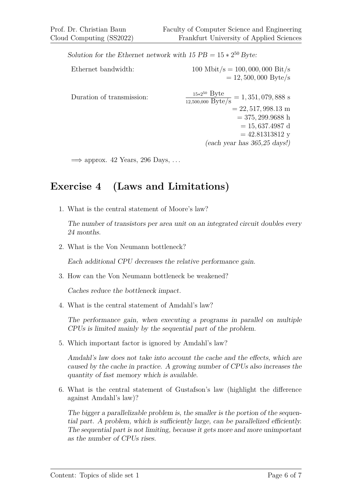Solution for the Ethernet network with  $15 PB = 15 * 2^{50} B$ yte:

| Ethernet bandwidth:       | 100 Mbit/s = 100, 000, 000 Bit/s<br>$= 12,500,000$ Byte/s                                                             |
|---------------------------|-----------------------------------------------------------------------------------------------------------------------|
| Duration of transmission: | $\frac{15*2^{50} \text{ Byte}}{12,500,000 \text{ Byte/s}} = 1,351,079,888 \text{ s}$<br>$= 22, 517, 998.13 \text{ m}$ |
|                           | $=$ 375, 299.9688 h                                                                                                   |
|                           | $= 15,637.4987$ d                                                                                                     |
|                           | $= 42.81313812$ y                                                                                                     |
|                           | $(each$ year has 365,25 days!)                                                                                        |

 $\implies$  approx. 42 Years, 296 Days, ...

## **Exercise 4 (Laws and Limitations)**

1. What is the central statement of Moore's law?

The number of transistors per area unit on an integrated circuit doubles every 24 months.

2. What is the Von Neumann bottleneck?

Each additional CPU decreases the relative performance gain.

3. How can the Von Neumann bottleneck be weakened?

Caches reduce the bottleneck impact.

4. What is the central statement of Amdahl's law?

The performance gain, when executing a programs in parallel on multiple CPUs is limited mainly by the sequential part of the problem.

5. Which important factor is ignored by Amdahl's law?

Amdahl's law does not take into account the cache and the effects, which are caused by the cache in practice. A growing number of CPUs also increases the quantity of fast memory which is available.

6. What is the central statement of Gustafson's law (highlight the difference against Amdahl's law)?

The bigger a parallelizable problem is, the smaller is the portion of the sequential part. A problem, which is sufficiently large, can be parallelized efficiently. The sequential part is not limiting, because it gets more and more unimportant as the number of CPUs rises.